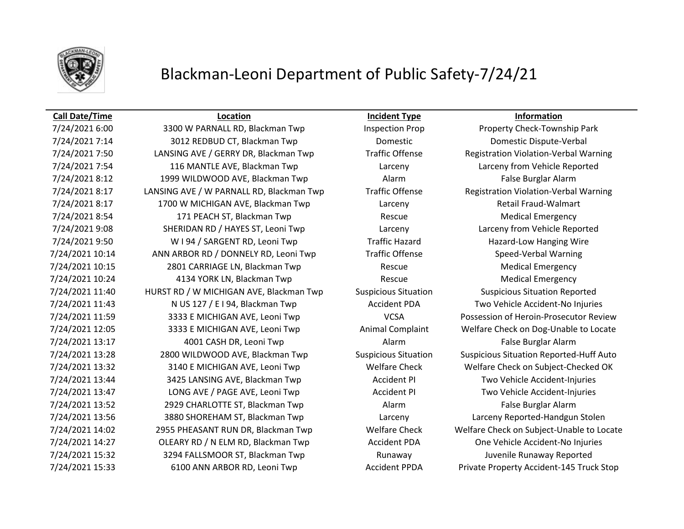

## Blackman-Leoni Department of Public Safety-7/24/21

## **Call Date/Time Location Incident Type Information**

7/24/2021 6:00 3300 W PARNALL RD, Blackman Twp Inspection Prop Property Check-Township Park 7/24/2021 7:14 3012 REDBUD CT, Blackman Twp Domestic Domestic Dispute-Verbal 7/24/2021 7:50 LANSING AVE / GERRY DR, Blackman Twp Traffic Offense Registration Violation-Verbal Warning 7/24/2021 7:54 116 MANTLE AVE, Blackman Twp Larceny Larceny from Vehicle Reported 7/24/2021 8:12 1999 WILDWOOD AVE, Blackman Twp Alarm Alarm False Burglar Alarm 7/24/2021 8:17 LANSING AVE / W PARNALL RD, Blackman Twp Traffic Offense Registration Violation-Verbal Warning 7/24/2021 8:17 1700 W MICHIGAN AVE, Blackman Twp Larceny Retail Fraud-Walmart 7/24/2021 8:54 171 PEACH ST, Blackman Twp Rescue Medical Emergency 7/24/2021 9:08 SHERIDAN RD / HAYES ST, Leoni Twp Larceny Larceny from Vehicle Reported 7/24/2021 9:50 W I 94 / SARGENT RD, Leoni Twp Traffic Hazard Hazard Hazard-Low Hanging Wire 7/24/2021 10:14 ANN ARBOR RD / DONNELY RD, Leoni Twp Traffic Offense Speed-Verbal Warning 7/24/2021 10:15 2801 CARRIAGE LN, Blackman Twp Rescue Medical Emergency 7/24/2021 10:24 4134 YORK LN, Blackman Twp Rescue Medical Emergency 7/24/2021 11:40 HURST RD / W MICHIGAN AVE, Blackman Twp Suspicious Situation Suspicious Situation Reported 7/24/2021 11:43 N US 127 / E I 94, Blackman Twp Accident PDA Two Vehicle Accident-No Injuries 7/24/2021 11:59 3333 E MICHIGAN AVE, Leoni Twp VCSA Possession of Heroin-Prosecutor Review 7/24/2021 12:05 3333 E MICHIGAN AVE, Leoni Twp Animal Complaint Welfare Check on Dog-Unable to Locate 7/24/2021 13:17 4001 CASH DR, Leoni Twp Alarm False Burglar Alarm 7/24/2021 13:28 2800 WILDWOOD AVE, Blackman Twp Suspicious Situation Suspicious Situation Reported-Huff Auto 7/24/2021 13:32 3140 E MICHIGAN AVE, Leoni Twp Welfare Check Welfare Check on Subject-Checked OK 7/24/2021 13:44 3425 LANSING AVE, Blackman Twp **Accident PI** Two Vehicle Accident-Injuries 7/24/2021 13:47 LONG AVE / PAGE AVE, Leoni Twp Accident PI Two Vehicle Accident-Injuries 7/24/2021 13:52 2929 CHARLOTTE ST, Blackman Twp Alarm Alarm False Burglar Alarm 7/24/2021 13:56 3880 SHOREHAM ST, Blackman Twp Larceny Larceny Reported-Handgun Stolen 7/24/2021 14:02 2955 PHEASANT RUN DR, Blackman Twp Welfare Check Welfare Check on Subject-Unable to Locate 7/24/2021 14:27 OLEARY RD / N ELM RD, Blackman Twp **Accident PDA** One Vehicle Accident-No Injuries 7/24/2021 15:32 3294 FALLSMOOR ST, Blackman Twp Runaway Buvenile Runaway Reported 7/24/2021 15:33 6100 ANN ARBOR RD, Leoni Twp Accident PPDA Private Property Accident-145 Truck Stop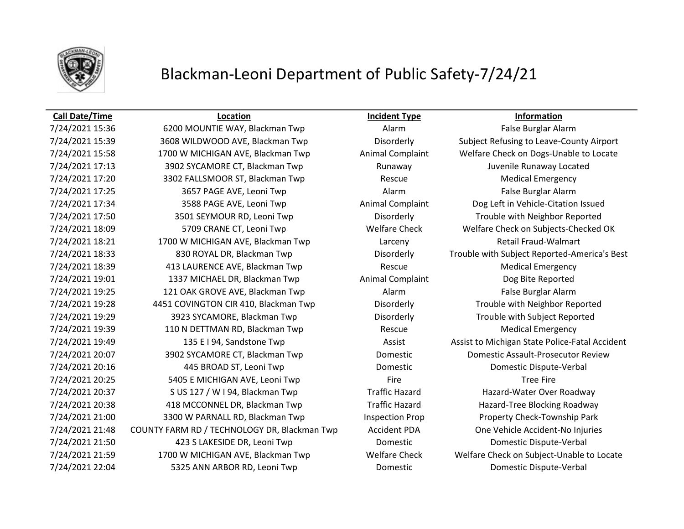

## Blackman-Leoni Department of Public Safety-7/24/21

### **Call Date/Time Location Incident Type Information**

7/24/2021 15:36 6200 MOUNTIE WAY, Blackman Twp **Alarm** Alarm False Burglar Alarm 7/24/2021 15:39 3608 WILDWOOD AVE, Blackman Twp Disorderly Subject Refusing to Leave-County Airport 7/24/2021 15:58 1700 W MICHIGAN AVE, Blackman Twp **Animal Complaint** Welfare Check on Dogs-Unable to Locate 7/24/2021 17:13 3902 SYCAMORE CT, Blackman Twp Runaway Juvenile Runaway Located 7/24/2021 17:20 3302 FALLSMOOR ST, Blackman Twp Rescue Medical Emergency 7/24/2021 17:25 3657 PAGE AVE, Leoni Twp Alarm Alarm Alarm False Burglar Alarm 7/24/2021 17:34 3588 PAGE AVE, Leoni Twp Animal Complaint Dog Left in Vehicle-Citation Issued 7/24/2021 17:50 3501 SEYMOUR RD, Leoni Twp Disorderly Trouble with Neighbor Reported 7/24/2021 18:09 5709 CRANE CT, Leoni Twp Welfare Check Welfare Check on Subjects-Checked OK 7/24/2021 18:21 1700 W MICHIGAN AVE, Blackman Twp Larceny Retail Fraud-Walmart 7/24/2021 18:33 830 ROYAL DR, Blackman Twp Disorderly Trouble with Subject Reported-America's Best 7/24/2021 18:39 413 LAURENCE AVE, Blackman Twp Rescue Medical Emergency 7/24/2021 19:01 1337 MICHAEL DR, Blackman Twp **Animal Complaint** Dog Bite Reported 7/24/2021 19:25 121 OAK GROVE AVE, Blackman Twp Alarm Alarm False Burglar Alarm 7/24/2021 19:28 4451 COVINGTON CIR 410, Blackman Twp Disorderly Trouble with Neighbor Reported 7/24/2021 19:29 3923 SYCAMORE, Blackman Twp Disorderly Trouble with Subject Reported 7/24/2021 19:39 110 N DETTMAN RD, Blackman Twp Rescue Medical Emergency 7/24/2021 19:49 135 E I 94, Sandstone Twp Assist Assist Assist to Michigan State Police-Fatal Accident 7/24/2021 20:07 3902 SYCAMORE CT, Blackman Twp Domestic Domestic Assault-Prosecutor Review 7/24/2021 20:16 445 BROAD ST, Leoni Twp Domestic Domestic Dispute-Verbal 7/24/2021 20:25 5405 E MICHIGAN AVE, Leoni Twp Fire Fire Fire Fire Tree Fire 7/24/2021 20:37 S US 127 / W I 94, Blackman Twp Traffic Hazard Hazard-Water Over Roadway 7/24/2021 20:38 418 MCCONNEL DR, Blackman Twp Traffic Hazard Hazard-Tree Blocking Roadway 7/24/2021 21:00 3300 W PARNALL RD, Blackman Twp Inspection Prop Property Check-Township Park 7/24/2021 21:48 COUNTY FARM RD / TECHNOLOGY DR, Blackman Twp Accident PDA One Vehicle Accident-No Injuries 7/24/2021 21:50 423 S LAKESIDE DR, Leoni Twp Domestic Domestic Dispute-Verbal 7/24/2021 21:59 1700 W MICHIGAN AVE, Blackman Twp Welfare Check Welfare Check on Subject-Unable to Locate 7/24/2021 22:04 5325 ANN ARBOR RD, Leoni Twp Domestic Domestic Dispute-Verbal